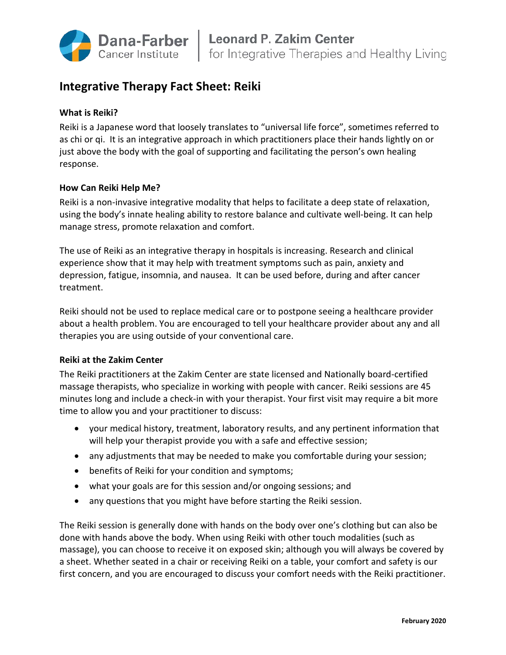

# **Integrative Therapy Fact Sheet: Reiki**

## **What is Reiki?**

Reiki is a Japanese word that loosely translates to "universal life force", sometimes referred to as chi or qi. It is an integrative approach in which practitioners place their hands lightly on or just above the body with the goal of supporting and facilitating the person's own healing response.

## **How Can Reiki Help Me?**

Reiki is a non-invasive integrative modality that helps to facilitate a deep state of relaxation, using the body's innate healing ability to restore balance and cultivate well-being. It can help manage stress, promote relaxation and comfort.

The use of Reiki as an integrative therapy in hospitals is increasing. Research and clinical experience show that it may help with treatment symptoms such as pain, anxiety and depression, fatigue, insomnia, and nausea. It can be used before, during and after cancer treatment.

Reiki should not be used to replace medical care or to postpone seeing a healthcare provider about a health problem. You are encouraged to tell your healthcare provider about any and all therapies you are using outside of your conventional care.

## **Reiki at the Zakim Center**

The Reiki practitioners at the Zakim Center are state licensed and Nationally board-certified massage therapists, who specialize in working with people with cancer. Reiki sessions are 45 minutes long and include a check-in with your therapist. Your first visit may require a bit more time to allow you and your practitioner to discuss:

- your medical history, treatment, laboratory results, and any pertinent information that will help your therapist provide you with a safe and effective session;
- any adjustments that may be needed to make you comfortable during your session;
- benefits of Reiki for your condition and symptoms;
- what your goals are for this session and/or ongoing sessions; and
- any questions that you might have before starting the Reiki session.

The Reiki session is generally done with hands on the body over one's clothing but can also be done with hands above the body. When using Reiki with other touch modalities (such as massage), you can choose to receive it on exposed skin; although you will always be covered by a sheet. Whether seated in a chair or receiving Reiki on a table, your comfort and safety is our first concern, and you are encouraged to discuss your comfort needs with the Reiki practitioner.